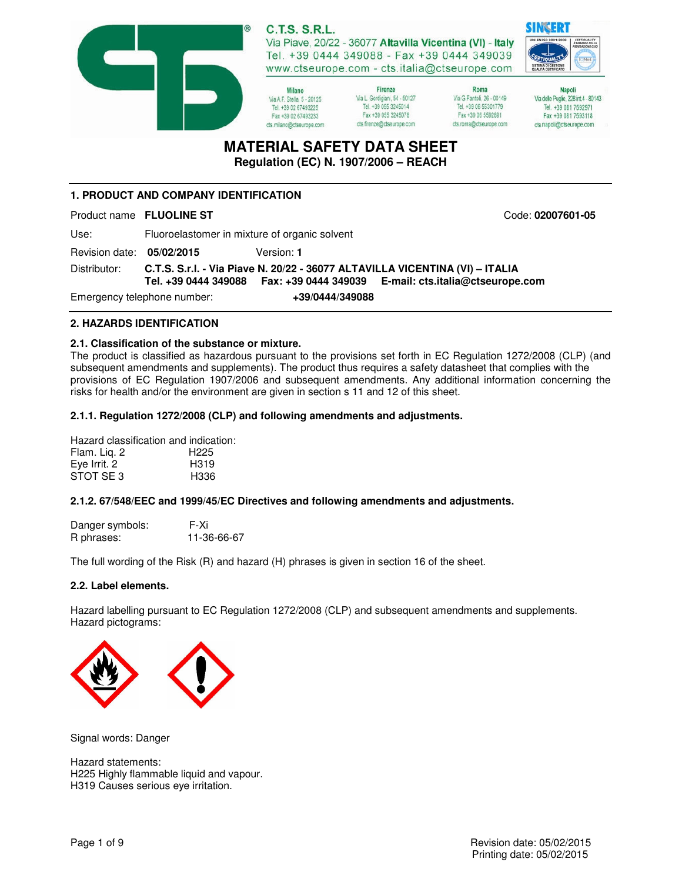

**C.T.S. S.R.L.** Via Piave, 20/22 - 36077 Altavilla Vicentina (VI) - Italy

Tel. +39 0444 349088 - Fax +39 0444 349039 www.ctseurope.com - cts.italia@ctseurope.com

Milano Via A F Stella 5 - 20125 Tel. +39 02 67493225 Fax +39 02 67493233 cts.milano@ctseurope.com

Firenze Via L. Gordigiani, 54 - 50127 Tel. +39 055 3245014 Fax +39 055 3245078 cts.firenze@ctseurope.com

Roma Via G.Fantoli, 26 - 00149 Tel. +39 06 55301779 Fax +39 06 5592891 cts.roma@ctseurope.com

**Napoli** Via delle Puglie, 228 int.4 - 80143 Tel. +39 081 7592971 Fax +39 081 7593118 cts.napoli@ctseurope.com

# **MATERIAL SAFETY DATA SHEET**

**Regulation (EC) N. 1907/2006 – REACH** 

# **1. PRODUCT AND COMPANY IDENTIFICATION**

Product name **FLUOLINE ST** Code: **02007601-05** 

Use: Fluoroelastomer in mixture of organic solvent Revision date: **05/02/2015** Version: **1**  Distributor: **C.T.S. S.r.l. - Via Piave N. 20/22 - 36077 ALTAVILLA VICENTINA (VI) – ITALIA Tel. +39 0444 349088 Fax: +39 0444 349039 E-mail: cts.italia@ctseurope.com**  Emergency telephone number: **+39/0444/349088** 

# **2. HAZARDS IDENTIFICATION**

### **2.1. Classification of the substance or mixture.**

The product is classified as hazardous pursuant to the provisions set forth in EC Regulation 1272/2008 (CLP) (and subsequent amendments and supplements). The product thus requires a safety datasheet that complies with the provisions of EC Regulation 1907/2006 and subsequent amendments. Any additional information concerning the risks for health and/or the environment are given in section s 11 and 12 of this sheet.

### **2.1.1. Regulation 1272/2008 (CLP) and following amendments and adjustments.**

Hazard classification and indication: Flam. Liq. 2 H225 Eye Irrit. 2 H319 STOT SE 3 H336

#### **2.1.2. 67/548/EEC and 1999/45/EC Directives and following amendments and adjustments.**

| Danger symbols: | F-Xi        |
|-----------------|-------------|
| R phrases:      | 11-36-66-67 |

The full wording of the Risk (R) and hazard (H) phrases is given in section 16 of the sheet.

#### **2.2. Label elements.**

Hazard labelling pursuant to EC Regulation 1272/2008 (CLP) and subsequent amendments and supplements. Hazard pictograms:



Signal words: Danger

Hazard statements: H225 Highly flammable liquid and vapour. H319 Causes serious eye irritation.

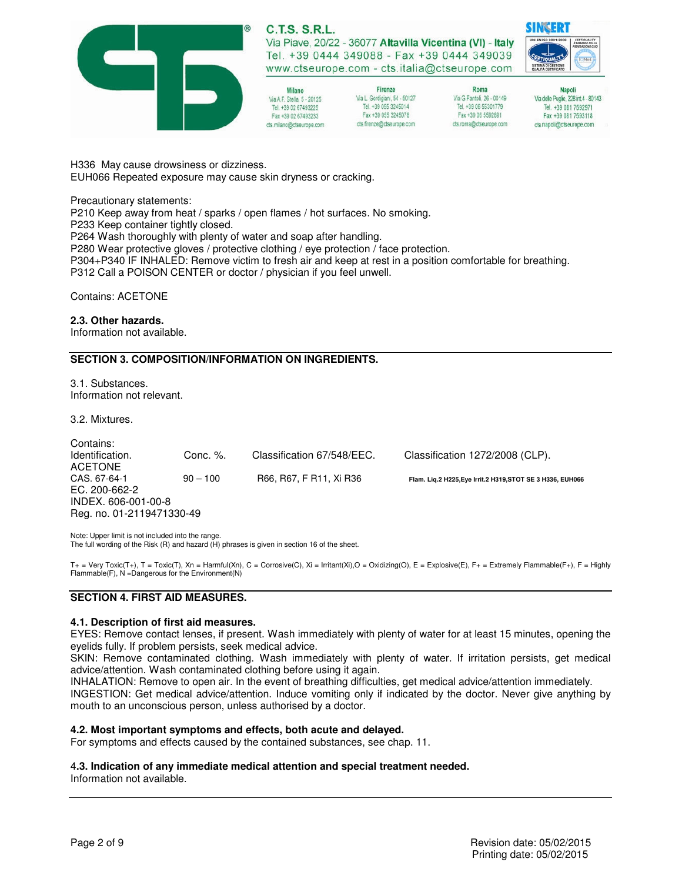

#### **C.T.S. S.R.L.** Via Piave, 20/22 - 36077 Altavilla Vicentina (VI) - Italy Tel. +39 0444 349088 - Fax +39 0444 349039 www.ctseurope.com - cts.italia@ctseurope.com

Milano Via A F Stella 5 - 20125 Tel. +39 02 67493225 Fax +39 02 67493233 cts.milano@ctseurope.com

Firenze Via L. Gordigiani, 54 - 50127 Tel. +39 055 3245014 Fax +39 055 3245078 cts.frenze@ctseurope.com

Roma Via G.Fantoli, 26 - 00149 Tel. +39 06 55301779 Fax +39 06 5592891 cts.roma@ctseurope.com

**Napoli** Via delle Puglie, 228 int.4 - 80143 Tel. +39 081 7592971 Fax +39 081 7593118 cts.napoli@ctseurope.com

H336 May cause drowsiness or dizziness. EUH066 Repeated exposure may cause skin dryness or cracking.

Precautionary statements:

P210 Keep away from heat / sparks / open flames / hot surfaces. No smoking. P233 Keep container tightly closed. P264 Wash thoroughly with plenty of water and soap after handling. P280 Wear protective gloves / protective clothing / eye protection / face protection. P304+P340 IF INHALED: Remove victim to fresh air and keep at rest in a position comfortable for breathing. P312 Call a POISON CENTER or doctor / physician if you feel unwell.

Contains: ACETONE

#### **2.3. Other hazards.**

Information not available.

#### **SECTION 3. COMPOSITION/INFORMATION ON INGREDIENTS.**

3.1. Substances. Information not relevant.

3.2. Mixtures.

Contains: Identification. Conc. %. Classification 67/548/EEC. Classification 1272/2008 (CLP). ACETONE CAS. 67-64-1 90 – 100 R66, R67, F R11, Xi R36 **Flam. Liq.2 H225,Eye Irrit.2 H319,STOT SE 3 H336, EUH066**  EC. 200-662-2 INDEX. 606-001-00-8 Reg. no. 01-2119471330-49

Note: Upper limit is not included into the range. The full wording of the Risk (R) and hazard (H) phrases is given in section 16 of the sheet.

T+ = Very Toxic(T+), T = Toxic(T), Xn = Harmful(Xn), C = Corrosive(C), Xi = Irritant(Xi),O = Oxidizing(O), E = Explosive(E), F + = Extremely Flammable(F+), F = Highly Flammable(F), N =Dangerous for the Environment(N)

#### **SECTION 4. FIRST AID MEASURES.**

#### **4.1. Description of first aid measures.**

EYES: Remove contact lenses, if present. Wash immediately with plenty of water for at least 15 minutes, opening the eyelids fully. If problem persists, seek medical advice.

SKIN: Remove contaminated clothing. Wash immediately with plenty of water. If irritation persists, get medical advice/attention. Wash contaminated clothing before using it again.

INHALATION: Remove to open air. In the event of breathing difficulties, get medical advice/attention immediately. INGESTION: Get medical advice/attention. Induce vomiting only if indicated by the doctor. Never give anything by mouth to an unconscious person, unless authorised by a doctor.

#### **4.2. Most important symptoms and effects, both acute and delayed.**

For symptoms and effects caused by the contained substances, see chap. 11.

## 4**.3. Indication of any immediate medical attention and special treatment needed.**

Information not available.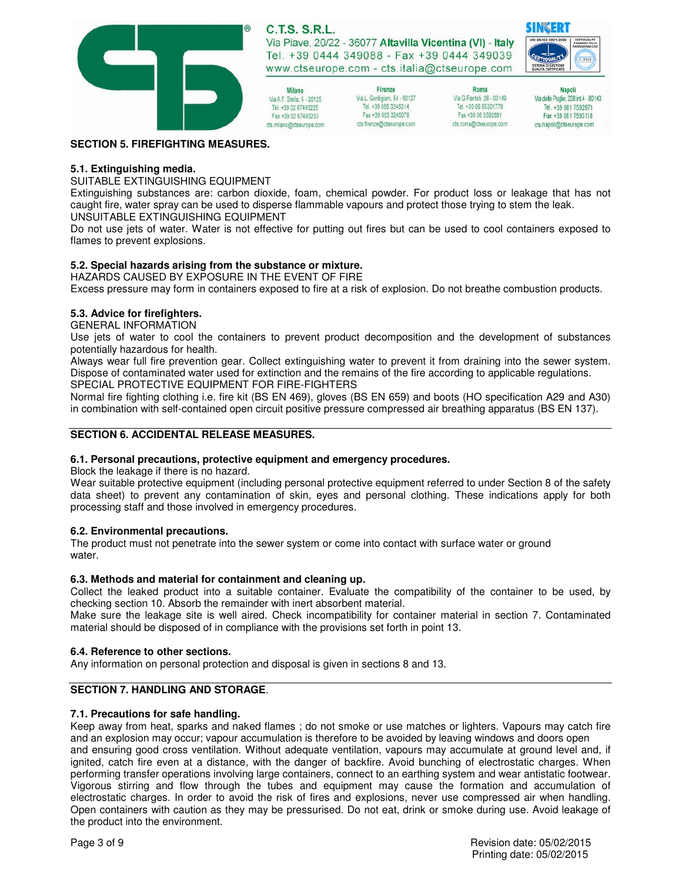

**C.T.S. S.R.L.** Via Piave, 20/22 - 36077 Altavilla Vicentina (VI) - Italy Tel. +39 0444 349088 - Fax +39 0444 349039

www.ctseurope.com - cts.italia@ctseurope.com Firenze Via L. Gordigiani, 54 - 50127 Via A F Stella 5 - 20125 Tel. +39 055 3245014

Fax +39 055 3245078

cts.frenze@ctseurope.com

Roma Via G.Fantoli, 26 - 00149 Tel. +39 06 55301779 Fax +39 06 5592891 cts.roma@ctseurope.com

**Napoli** Via delle Puglie, 228 int.4 - 80143 Tel. +39 081 7592971 Fax +39 081 7593118 cts.napoli@ctseurope.com

SINSERI

#### **SECTION 5. FIREFIGHTING MEASURES.**

#### **5.1. Extinguishing media.**

SUITABLE EXTINGUISHING EQUIPMENT

Extinguishing substances are: carbon dioxide, foam, chemical powder. For product loss or leakage that has not caught fire, water spray can be used to disperse flammable vapours and protect those trying to stem the leak. UNSUITABLE EXTINGUISHING EQUIPMENT

Do not use jets of water. Water is not effective for putting out fires but can be used to cool containers exposed to flames to prevent explosions.

#### **5.2. Special hazards arising from the substance or mixture.**

HAZARDS CAUSED BY EXPOSURE IN THE EVENT OF FIRE

Milano

Tel. +39 02 67493225

Fax +39 02 67493233

cts.milano@ctseurope.com

Excess pressure may form in containers exposed to fire at a risk of explosion. Do not breathe combustion products.

#### **5.3. Advice for firefighters.**

GENERAL INFORMATION

Use jets of water to cool the containers to prevent product decomposition and the development of substances potentially hazardous for health.

Always wear full fire prevention gear. Collect extinguishing water to prevent it from draining into the sewer system. Dispose of contaminated water used for extinction and the remains of the fire according to applicable regulations. SPECIAL PROTECTIVE EQUIPMENT FOR FIRE-FIGHTERS

Normal fire fighting clothing i.e. fire kit (BS EN 469), gloves (BS EN 659) and boots (HO specification A29 and A30) in combination with self-contained open circuit positive pressure compressed air breathing apparatus (BS EN 137).

#### **SECTION 6. ACCIDENTAL RELEASE MEASURES.**

#### **6.1. Personal precautions, protective equipment and emergency procedures.**

Block the leakage if there is no hazard.

Wear suitable protective equipment (including personal protective equipment referred to under Section 8 of the safety data sheet) to prevent any contamination of skin, eyes and personal clothing. These indications apply for both processing staff and those involved in emergency procedures.

#### **6.2. Environmental precautions.**

The product must not penetrate into the sewer system or come into contact with surface water or ground water.

#### **6.3. Methods and material for containment and cleaning up.**

Collect the leaked product into a suitable container. Evaluate the compatibility of the container to be used, by checking section 10. Absorb the remainder with inert absorbent material.

Make sure the leakage site is well aired. Check incompatibility for container material in section 7. Contaminated material should be disposed of in compliance with the provisions set forth in point 13.

#### **6.4. Reference to other sections.**

Any information on personal protection and disposal is given in sections 8 and 13.

#### **SECTION 7. HANDLING AND STORAGE**.

#### **7.1. Precautions for safe handling.**

Keep away from heat, sparks and naked flames ; do not smoke or use matches or lighters. Vapours may catch fire and an explosion may occur; vapour accumulation is therefore to be avoided by leaving windows and doors open and ensuring good cross ventilation. Without adequate ventilation, vapours may accumulate at ground level and, if ignited, catch fire even at a distance, with the danger of backfire. Avoid bunching of electrostatic charges. When performing transfer operations involving large containers, connect to an earthing system and wear antistatic footwear. Vigorous stirring and flow through the tubes and equipment may cause the formation and accumulation of electrostatic charges. In order to avoid the risk of fires and explosions, never use compressed air when handling. Open containers with caution as they may be pressurised. Do not eat, drink or smoke during use. Avoid leakage of the product into the environment.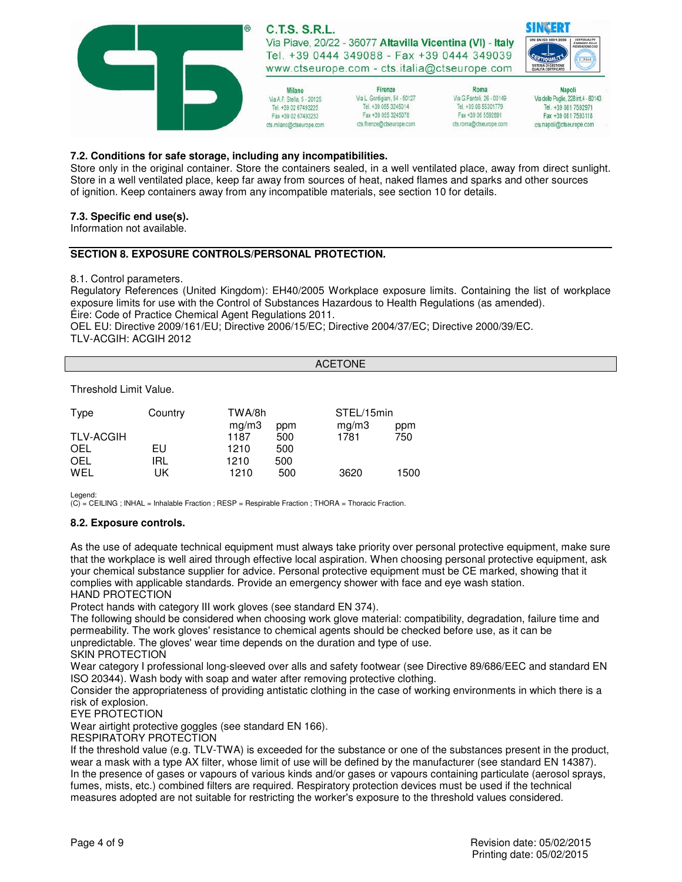

#### **7.2. Conditions for safe storage, including any incompatibilities.**

Store only in the original container. Store the containers sealed, in a well ventilated place, away from direct sunlight. Store in a well ventilated place, keep far away from sources of heat, naked flames and sparks and other sources of ignition. Keep containers away from any incompatible materials, see section 10 for details.

#### **7.3. Specific end use(s).**

Information not available.

#### **SECTION 8. EXPOSURE CONTROLS/PERSONAL PROTECTION.**

8.1. Control parameters.

Regulatory References (United Kingdom): EH40/2005 Workplace exposure limits. Containing the list of workplace exposure limits for use with the Control of Substances Hazardous to Health Regulations (as amended). Éire: Code of Practice Chemical Agent Regulations 2011.

OEL EU: Directive 2009/161/EU; Directive 2006/15/EC; Directive 2004/37/EC; Directive 2000/39/EC. TLV-ACGIH: ACGIH 2012

ACETONE

#### Threshold Limit Value.

| Type             | Country | TWA/8h |     | STEL/15min |      |
|------------------|---------|--------|-----|------------|------|
|                  |         | mq/m3  | ppm | mg/m3      | ppm  |
| <b>TLV-ACGIH</b> |         | 1187   | 500 | 1781       | 750  |
| OEL              | EU.     | 1210   | 500 |            |      |
| OEL              | irl     | 1210   | 500 |            |      |
| WFI              | UK      | 1210   | 500 | 3620       | 1500 |

Legend:

(C) = CEILING ; INHAL = Inhalable Fraction ; RESP = Respirable Fraction ; THORA = Thoracic Fraction.

#### **8.2. Exposure controls.**

As the use of adequate technical equipment must always take priority over personal protective equipment, make sure that the workplace is well aired through effective local aspiration. When choosing personal protective equipment, ask your chemical substance supplier for advice. Personal protective equipment must be CE marked, showing that it complies with applicable standards. Provide an emergency shower with face and eye wash station. HAND PROTECTION

Protect hands with category III work gloves (see standard EN 374).

The following should be considered when choosing work glove material: compatibility, degradation, failure time and permeability. The work gloves' resistance to chemical agents should be checked before use, as it can be unpredictable. The gloves' wear time depends on the duration and type of use.

SKIN PROTECTION

Wear category I professional long-sleeved over alls and safety footwear (see Directive 89/686/EEC and standard EN ISO 20344). Wash body with soap and water after removing protective clothing.

Consider the appropriateness of providing antistatic clothing in the case of working environments in which there is a risk of explosion.

EYE PROTECTION

Wear airtight protective goggles (see standard EN 166).

RESPIRATORY PROTECTION

If the threshold value (e.g. TLV-TWA) is exceeded for the substance or one of the substances present in the product, wear a mask with a type AX filter, whose limit of use will be defined by the manufacturer (see standard EN 14387). In the presence of gases or vapours of various kinds and/or gases or vapours containing particulate (aerosol sprays, fumes, mists, etc.) combined filters are required. Respiratory protection devices must be used if the technical measures adopted are not suitable for restricting the worker's exposure to the threshold values considered.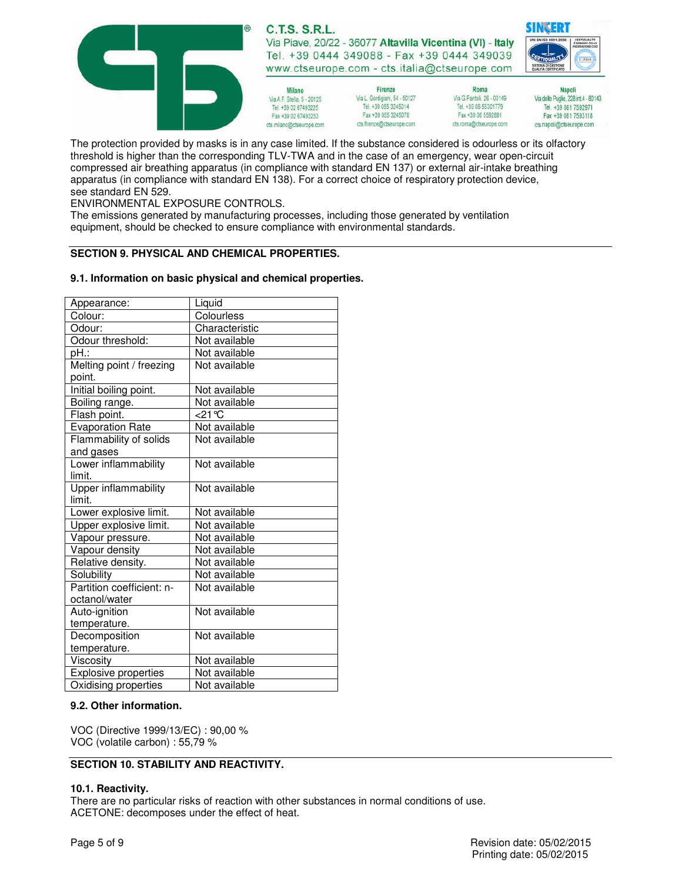

The protection provided by masks is in any case limited. If the substance considered is odourless or its olfactory threshold is higher than the corresponding TLV-TWA and in the case of an emergency, wear open-circuit compressed air breathing apparatus (in compliance with standard EN 137) or external air-intake breathing apparatus (in compliance with standard EN 138). For a correct choice of respiratory protection device, see standard EN 529.

ENVIRONMENTAL EXPOSURE CONTROLS.

The emissions generated by manufacturing processes, including those generated by ventilation equipment, should be checked to ensure compliance with environmental standards.

### **SECTION 9. PHYSICAL AND CHEMICAL PROPERTIES.**

#### **9.1. Information on basic physical and chemical properties.**

| Appearance:                 | Liquid         |
|-----------------------------|----------------|
| Colour:                     | Colourless     |
| Odour:                      | Characteristic |
| Odour threshold:            | Not available  |
| pH.:                        | Not available  |
| Melting point / freezing    | Not available  |
| point.                      |                |
| Initial boiling point.      | Not available  |
| Boiling range.              | Not available  |
| Flash point.                | <21 °C         |
| <b>Evaporation Rate</b>     | Not available  |
| Flammability of solids      | Not available  |
| and gases                   |                |
| Lower inflammability        | Not available  |
| limit.                      |                |
| <b>Upper inflammability</b> | Not available  |
| limit.                      |                |
| Lower explosive limit.      | Not available  |
| Upper explosive limit.      | Not available  |
| Vapour pressure.            | Not available  |
| Vapour density              | Not available  |
| Relative density.           | Not available  |
| Solubility                  | Not available  |
| Partition coefficient: n-   | Not available  |
| octanol/water               |                |
| Auto-ignition               | Not available  |
| temperature.                |                |
| Decomposition               | Not available  |
| temperature.                |                |
| Viscosity                   | Not available  |
| <b>Explosive properties</b> | Not available  |
| Oxidising properties        | Not available  |

#### **9.2. Other information.**

VOC (Directive 1999/13/EC) : 90,00 % VOC (volatile carbon) : 55,79 %

#### **SECTION 10. STABILITY AND REACTIVITY.**

#### **10.1. Reactivity.**

There are no particular risks of reaction with other substances in normal conditions of use. ACETONE: decomposes under the effect of heat.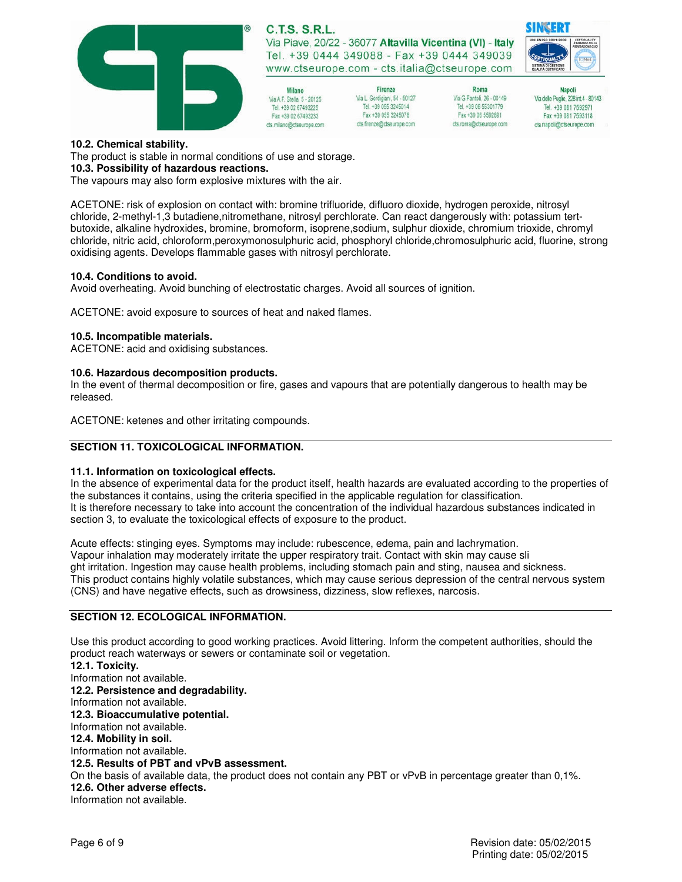

# **C.T.S. S.R.L.**

Via Piave, 20/22 - 36077 Altavilla Vicentina (VI) - Italy Tel. +39 0444 349088 - Fax +39 0444 349039 www.ctseurope.com - cts.italia@ctseurope.com

- Milano Via A F Stella 5 - 20125 Tel. +39 02 67493225 Fax +39 02 67493233 cts.milano@ctseurope.com
- Firenze Via L. Gordigiani, 54 - 50127 Tel. +39 055 3245014 Fax +39 055 3245078 cts.frenze@ctseurope.com



**Napoli** Via delle Puglie, 228 int.4 - 80143 Tel. +39 081 7592971 Fax +39 081 7593118 cts.napoli@ctseurope.com

#### **10.2. Chemical stability.**

The product is stable in normal conditions of use and storage.

#### **10.3. Possibility of hazardous reactions.**

The vapours may also form explosive mixtures with the air.

ACETONE: risk of explosion on contact with: bromine trifluoride, difluoro dioxide, hydrogen peroxide, nitrosyl chloride, 2-methyl-1,3 butadiene,nitromethane, nitrosyl perchlorate. Can react dangerously with: potassium tertbutoxide, alkaline hydroxides, bromine, bromoform, isoprene,sodium, sulphur dioxide, chromium trioxide, chromyl chloride, nitric acid, chloroform,peroxymonosulphuric acid, phosphoryl chloride,chromosulphuric acid, fluorine, strong oxidising agents. Develops flammable gases with nitrosyl perchlorate.

#### **10.4. Conditions to avoid.**

Avoid overheating. Avoid bunching of electrostatic charges. Avoid all sources of ignition.

ACETONE: avoid exposure to sources of heat and naked flames.

#### **10.5. Incompatible materials.**

ACETONE: acid and oxidising substances.

#### **10.6. Hazardous decomposition products.**

In the event of thermal decomposition or fire, gases and vapours that are potentially dangerous to health may be released.

ACETONE: ketenes and other irritating compounds.

#### **SECTION 11. TOXICOLOGICAL INFORMATION.**

#### **11.1. Information on toxicological effects.**

In the absence of experimental data for the product itself, health hazards are evaluated according to the properties of the substances it contains, using the criteria specified in the applicable regulation for classification. It is therefore necessary to take into account the concentration of the individual hazardous substances indicated in section 3, to evaluate the toxicological effects of exposure to the product.

Acute effects: stinging eyes. Symptoms may include: rubescence, edema, pain and lachrymation. Vapour inhalation may moderately irritate the upper respiratory trait. Contact with skin may cause sli ght irritation. Ingestion may cause health problems, including stomach pain and sting, nausea and sickness. This product contains highly volatile substances, which may cause serious depression of the central nervous system (CNS) and have negative effects, such as drowsiness, dizziness, slow reflexes, narcosis.

#### **SECTION 12. ECOLOGICAL INFORMATION.**

Use this product according to good working practices. Avoid littering. Inform the competent authorities, should the product reach waterways or sewers or contaminate soil or vegetation.

**12.1. Toxicity.**  Information not available. **12.2. Persistence and degradability.**  Information not available. **12.3. Bioaccumulative potential.**  Information not available. **12.4. Mobility in soil.**  Information not available. **12.5. Results of PBT and vPvB assessment.**  On the basis of available data, the product does not contain any PBT or vPvB in percentage greater than 0,1%. **12.6. Other adverse effects.**  Information not available.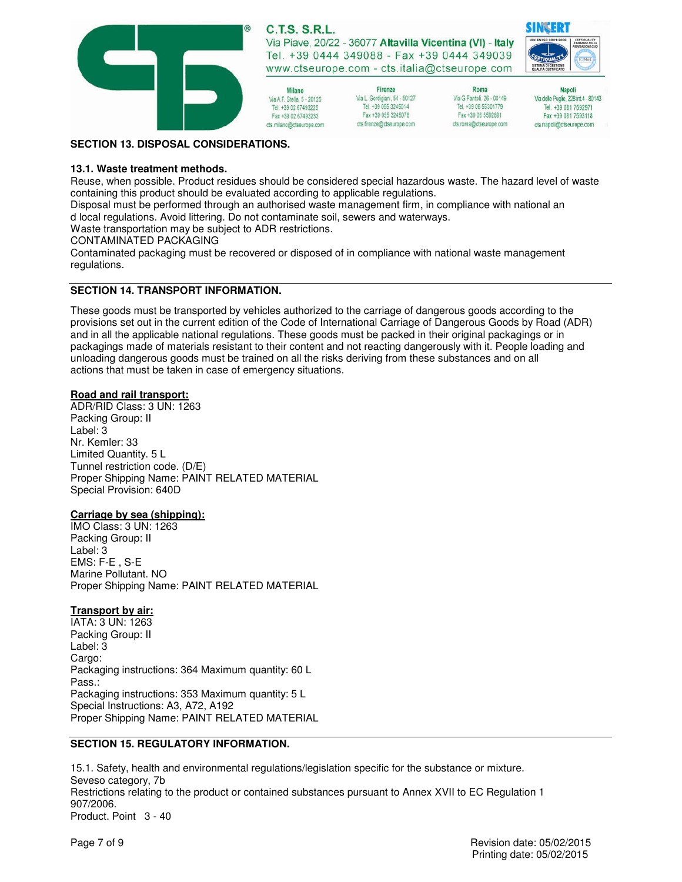

**C.T.S. S.R.L.** Via Piave, 20/22 - 36077 Altavilla Vicentina (VI) - Italy Tel. +39 0444 349088 - Fax +39 0444 349039

www.ctseurope.com - cts.italia@ctseurope.com

Firenze Via L. Gordigiani, 54 - 50127 Tel. +39 055 3245014 Fax +39 055 3245078 cts.firenze@ctseurope.com



Roma

Via G.Fantoli, 26 - 00149

Tel. +39 06 55301779

Fax +39 06 5592891

cts.roma@ctseurope.com

**Napoli** Via delle Puglie, 228 int.4 - 80143 Tel. +39 081 7592971 Fax +39 081 7593118 cts.napoli@ctseurope.com

#### **SECTION 13. DISPOSAL CONSIDERATIONS.**

#### **13.1. Waste treatment methods.**

Reuse, when possible. Product residues should be considered special hazardous waste. The hazard level of waste containing this product should be evaluated according to applicable regulations.

Disposal must be performed through an authorised waste management firm, in compliance with national an d local regulations. Avoid littering. Do not contaminate soil, sewers and waterways.

Milano

Via A F Stella 5 - 20125

Tel. +39 02 67493225

Fax +39 02 67493233

cts.milano@ctseurope.com

Waste transportation may be subject to ADR restrictions.

CONTAMINATED PACKAGING

Contaminated packaging must be recovered or disposed of in compliance with national waste management regulations.

### **SECTION 14. TRANSPORT INFORMATION.**

These goods must be transported by vehicles authorized to the carriage of dangerous goods according to the provisions set out in the current edition of the Code of International Carriage of Dangerous Goods by Road (ADR) and in all the applicable national regulations. These goods must be packed in their original packagings or in packagings made of materials resistant to their content and not reacting dangerously with it. People loading and unloading dangerous goods must be trained on all the risks deriving from these substances and on all actions that must be taken in case of emergency situations.

#### **Road and rail transport:**

ADR/RID Class: 3 UN: 1263 Packing Group: II Label: 3 Nr. Kemler: 33 Limited Quantity. 5 L Tunnel restriction code. (D/E) Proper Shipping Name: PAINT RELATED MATERIAL Special Provision: 640D

#### **Carriage by sea (shipping):**

IMO Class: 3 UN: 1263 Packing Group: II Label: 3 EMS: F-E , S-E Marine Pollutant. NO Proper Shipping Name: PAINT RELATED MATERIAL

#### **Transport by air:**

IATA: 3 UN: 1263 Packing Group: II Label: 3 Cargo: Packaging instructions: 364 Maximum quantity: 60 L Pass.: Packaging instructions: 353 Maximum quantity: 5 L Special Instructions: A3, A72, A192 Proper Shipping Name: PAINT RELATED MATERIAL

#### **SECTION 15. REGULATORY INFORMATION.**

15.1. Safety, health and environmental regulations/legislation specific for the substance or mixture. Seveso category, 7b Restrictions relating to the product or contained substances pursuant to Annex XVII to EC Regulation 1 907/2006. Product. Point 3 - 40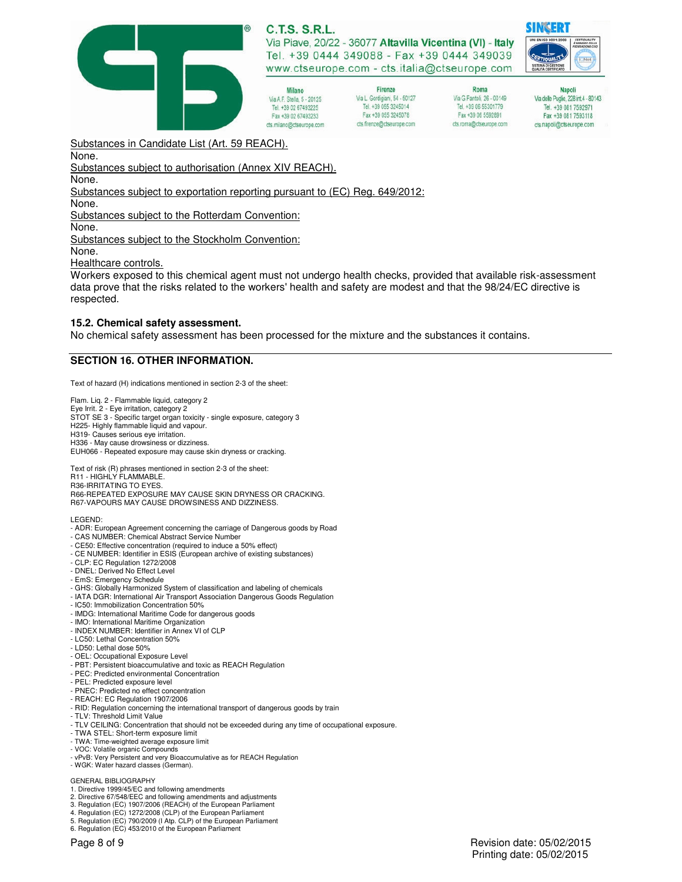

**C.T.S. S.R.L.** 

Via Piave, 20/22 - 36077 Altavilla Vicentina (VI) - Italy Tel. +39 0444 349088 - Fax +39 0444 349039 www.ctseurope.com - cts.italia@ctseurope.com

Milano Via A F Stella 5 - 20125 Tel. +39 02 67493225 Fax +39 02 67493233 cts.milano@ctseurope.com

Firenze Via L. Gordigiani, 54 - 50127 Tel. +39 055 3245014 Fax +39 055 3245078 cts.firenze@ctseurope.com

Roma Via G.Fantoli, 26 - 00149 Tel. +39 06 55301779 Fax +39 06 5592891 cts.roma@ctseurope.com

**Napoli** Via delle Puglie, 228 int.4 - 80143 Tel. +39 081 7592971 Fax +39 081 7593118 cts.napoli@ctseurope.com

Substances in Candidate List (Art. 59 REACH).

None.

Substances subject to authorisation (Annex XIV REACH).

None.

Substances subject to exportation reporting pursuant to (EC) Reg. 649/2012:

None.

Substances subject to the Rotterdam Convention:

None.

Substances subject to the Stockholm Convention:

None.

Healthcare controls.

Workers exposed to this chemical agent must not undergo health checks, provided that available risk-assessment data prove that the risks related to the workers' health and safety are modest and that the 98/24/EC directive is respected.

#### **15.2. Chemical safety assessment.**

No chemical safety assessment has been processed for the mixture and the substances it contains.

#### **SECTION 16. OTHER INFORMATION.**

Text of hazard (H) indications mentioned in section 2-3 of the sheet:

Flam. Liq. 2 - Flammable liquid, category 2 Eye Irrit. 2 - Eye irritation, category 2 STOT SE 3 - Specific target organ toxicity - single exposure, category 3 H225- Highly flammable liquid and vapour. H319- Causes serious eye irritation. H336 - May cause drowsiness or dizziness. EUH066 - Repeated exposure may cause skin dryness or cracking.

Text of risk (R) phrases mentioned in section 2-3 of the sheet: R11 - HIGHLY FLAMMABLE. R36-IRRITATING TO EYES. R66-REPEATED EXPOSURE MAY CAUSE SKIN DRYNESS OR CRACKING. R67-VAPOURS MAY CAUSE DROWSINESS AND DIZZINESS.

LEGEND:

- ADR: European Agreement concerning the carriage of Dangerous goods by Road
- CAS NUMBER: Chemical Abstract Service Number
- CE50: Effective concentration (required to induce a 50% effect) - CE NUMBER: Identifier in ESIS (European archive of existing substances)
- 
- CLP: EC Regulation 1272/2008 - DNEL: Derived No Effect Level
- EmS: Emergency Schedule
- GHS: Globally Harmonized System of classification and labeling of chemicals
- IATA DGR: International Air Transport Association Dangerous Goods Regulation
- IC50: Immobilization Concentration 50%
- IMDG: International Maritime Code for dangerous goods
- IMO: International Maritime Organization
- INDEX NUMBER: Identifier in Annex VI of CLP
- LC50: Lethal Concentration 50%
- LD50: Lethal dose 50%
- OEL: Occupational Exposure Level
- PBT: Persistent bioaccumulative and toxic as REACH Regulation - PEC: Predicted environmental Concentration
- PEL: Predicted exposure level
- PNEC: Predicted no effect concentration
- REACH: EC Regulation 1907/2006
- RID: Regulation concerning the international transport of dangerous goods by train
- TLV: Threshold Limit Value
- TLV CEILING: Concentration that should not be exceeded during any time of occupational exposure.
- TWA STEL: Short-term exposure limit
- TWA: Time-weighted average exposure limit - VOC: Volatile organic Compounds
- vPvB: Very Persistent and very Bioaccumulative as for REACH Regulation WGK: Water hazard classes (German).
- 

#### GENERAL BIBLIOGRAPHY

- 1. Directive 1999/45/EC and following amendments 2. Directive 67/548/EEC and following amendments and adjustments
- 3. Regulation (EC) 1907/2006 (REACH) of the European Parliament
- 4. Regulation (EC) 1272/2008 (CLP) of the European Parliament 5. Regulation (EC) 790/2009 (I Atp. CLP) of the European Parliament
- 6. Regulation (EC) 453/2010 of the European Parliament